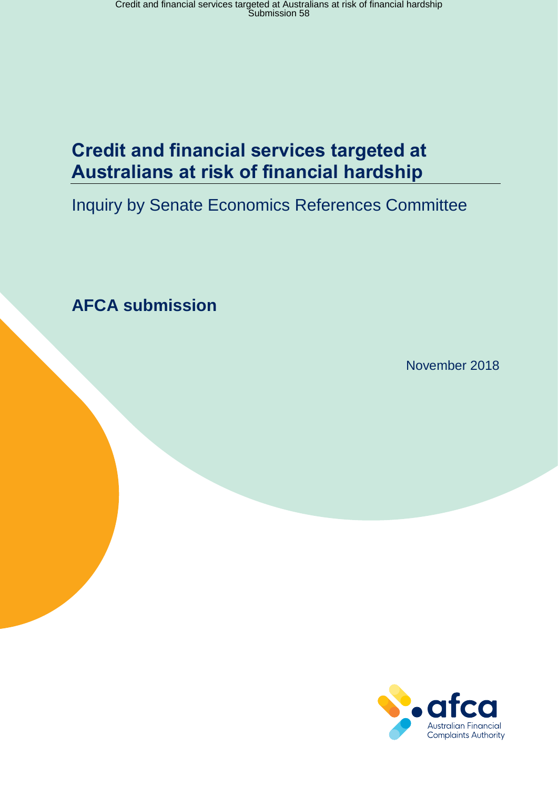# **Credit and financial services targeted at Australians at risk of financial hardship**

# Inquiry by Senate Economics References Committee

**AFCA submission** 

November 2018

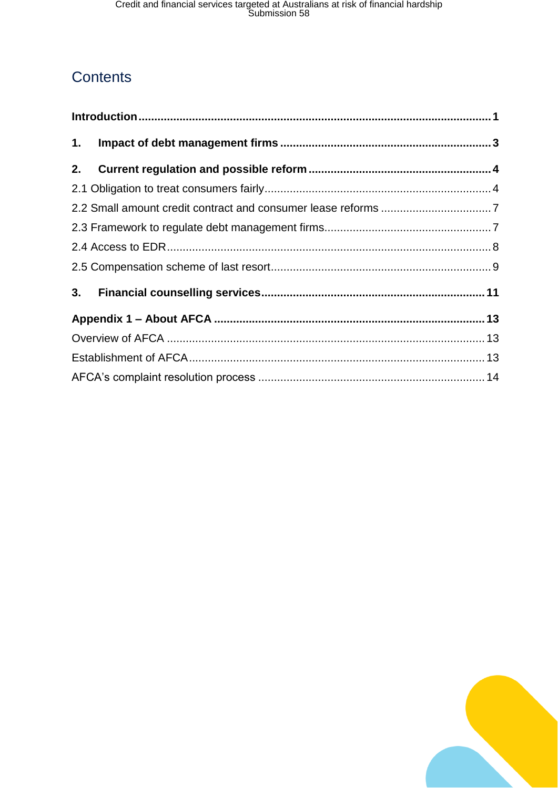# **Contents**

| 2. |  |  |  |  |  |
|----|--|--|--|--|--|
|    |  |  |  |  |  |
|    |  |  |  |  |  |
|    |  |  |  |  |  |
|    |  |  |  |  |  |
|    |  |  |  |  |  |
|    |  |  |  |  |  |
|    |  |  |  |  |  |
|    |  |  |  |  |  |
|    |  |  |  |  |  |
|    |  |  |  |  |  |

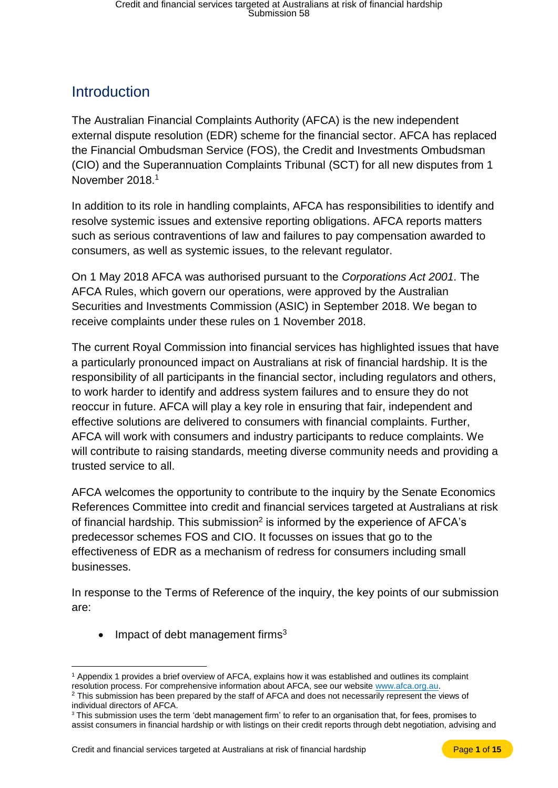## <span id="page-2-0"></span>**Introduction**

The Australian Financial Complaints Authority (AFCA) is the new independent external dispute resolution (EDR) scheme for the financial sector. AFCA has replaced the Financial Ombudsman Service (FOS), the Credit and Investments Ombudsman (CIO) and the Superannuation Complaints Tribunal (SCT) for all new disputes from 1 November 2018.<sup>1</sup>

In addition to its role in handling complaints, AFCA has responsibilities to identify and resolve systemic issues and extensive reporting obligations. AFCA reports matters such as serious contraventions of law and failures to pay compensation awarded to consumers, as well as systemic issues, to the relevant regulator.

On 1 May 2018 AFCA was authorised pursuant to the *Corporations Act 2001.* The AFCA Rules, which govern our operations, were approved by the Australian Securities and Investments Commission (ASIC) in September 2018. We began to receive complaints under these rules on 1 November 2018.

The current Royal Commission into financial services has highlighted issues that have a particularly pronounced impact on Australians at risk of financial hardship. It is the responsibility of all participants in the financial sector, including regulators and others, to work harder to identify and address system failures and to ensure they do not reoccur in future. AFCA will play a key role in ensuring that fair, independent and effective solutions are delivered to consumers with financial complaints. Further, AFCA will work with consumers and industry participants to reduce complaints. We will contribute to raising standards, meeting diverse community needs and providing a trusted service to all.

AFCA welcomes the opportunity to contribute to the inquiry by the Senate Economics References Committee into credit and financial services targeted at Australians at risk of financial hardship. This submission<sup>2</sup> is informed by the experience of AFCA's predecessor schemes FOS and CIO. It focusses on issues that go to the effectiveness of EDR as a mechanism of redress for consumers including small businesses.

In response to the Terms of Reference of the inquiry, the key points of our submission are:

• Impact of debt management firms<sup>3</sup>

 $\overline{a}$ <sup>1</sup> Appendix 1 provides a brief overview of AFCA, explains how it was established and outlines its complaint resolution process. For comprehensive information about AFCA, see our websit[e www.afca.org.au.](http://www.afca.org.au/)

<sup>&</sup>lt;sup>2</sup> This submission has been prepared by the staff of AFCA and does not necessarily represent the views of individual directors of AFCA.

<sup>&</sup>lt;sup>3</sup> This submission uses the term 'debt management firm' to refer to an organisation that, for fees, promises to assist consumers in financial hardship or with listings on their credit reports through debt negotiation, advising and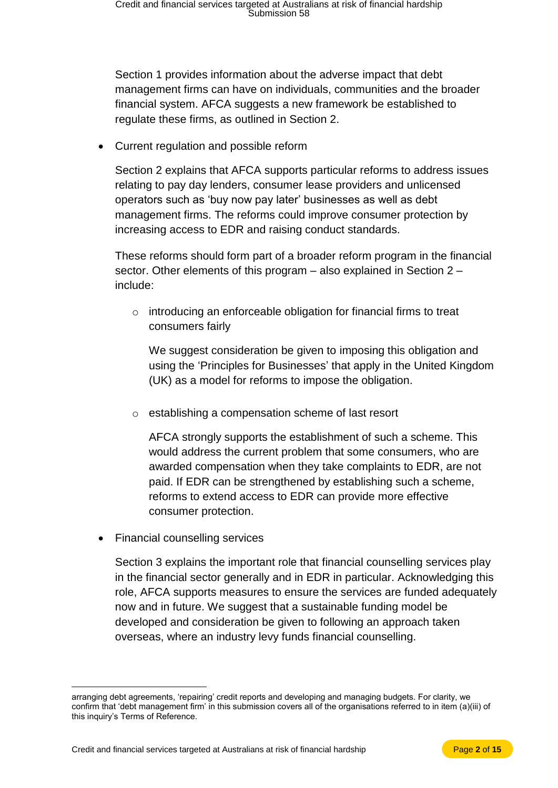Section 1 provides information about the adverse impact that debt management firms can have on individuals, communities and the broader financial system. AFCA suggests a new framework be established to regulate these firms, as outlined in Section 2.

• Current regulation and possible reform

Section 2 explains that AFCA supports particular reforms to address issues relating to pay day lenders, consumer lease providers and unlicensed operators such as 'buy now pay later' businesses as well as debt management firms. The reforms could improve consumer protection by increasing access to EDR and raising conduct standards.

These reforms should form part of a broader reform program in the financial sector. Other elements of this program – also explained in Section 2 – include:

o introducing an enforceable obligation for financial firms to treat consumers fairly

We suggest consideration be given to imposing this obligation and using the 'Principles for Businesses' that apply in the United Kingdom (UK) as a model for reforms to impose the obligation.

o establishing a compensation scheme of last resort

AFCA strongly supports the establishment of such a scheme. This would address the current problem that some consumers, who are awarded compensation when they take complaints to EDR, are not paid. If EDR can be strengthened by establishing such a scheme, reforms to extend access to EDR can provide more effective consumer protection.

• Financial counselling services

 $\overline{a}$ 

Section 3 explains the important role that financial counselling services play in the financial sector generally and in EDR in particular. Acknowledging this role, AFCA supports measures to ensure the services are funded adequately now and in future. We suggest that a sustainable funding model be developed and consideration be given to following an approach taken overseas, where an industry levy funds financial counselling.

arranging debt agreements, 'repairing' credit reports and developing and managing budgets. For clarity, we confirm that 'debt management firm' in this submission covers all of the organisations referred to in item (a)(iii) of this inquiry's Terms of Reference.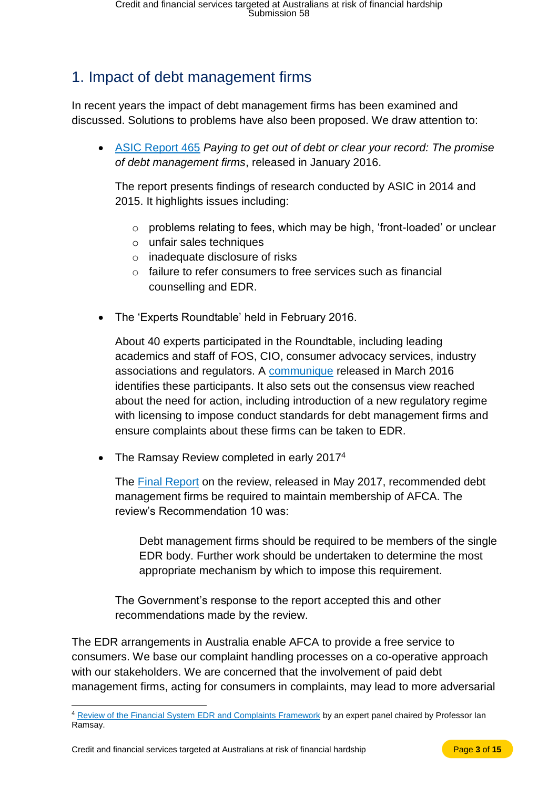# <span id="page-4-0"></span>1. Impact of debt management firms

In recent years the impact of debt management firms has been examined and discussed. Solutions to problems have also been proposed. We draw attention to:

• [ASIC Report 465](https://download.asic.gov.au/media/3515432/rep465-published-21-january-2016.pdf) *Paying to get out of debt or clear your record: The promise of debt management firms*, released in January 2016.

The report presents findings of research conducted by ASIC in 2014 and 2015. It highlights issues including:

- o problems relating to fees, which may be high, 'front-loaded' or unclear
- o unfair sales techniques
- o inadequate disclosure of risks
- o failure to refer consumers to free services such as financial counselling and EDR.
- The 'Experts Roundtable' held in February 2016.

About 40 experts participated in the Roundtable, including leading academics and staff of FOS, CIO, consumer advocacy services, industry associations and regulators. A [communique](https://www.financialcounsellingaustralia.org.au/Corporate/News/Communique-Debt-Management-Firms-Regulatory-Reform) released in March 2016 identifies these participants. It also sets out the consensus view reached about the need for action, including introduction of a new regulatory regime with licensing to impose conduct standards for debt management firms and ensure complaints about these firms can be taken to EDR.

• The Ramsay Review completed in early 2017<sup>4</sup>

The [Final Report](https://treasury.gov.au/publication/edr-review-final-report/) on the review, released in May 2017, recommended debt management firms be required to maintain membership of AFCA. The review's Recommendation 10 was:

Debt management firms should be required to be members of the single EDR body. Further work should be undertaken to determine the most appropriate mechanism by which to impose this requirement.

The Government's response to the report accepted this and other recommendations made by the review.

The EDR arrangements in Australia enable AFCA to provide a free service to consumers. We base our complaint handling processes on a co-operative approach with our stakeholders. We are concerned that the involvement of paid debt management firms, acting for consumers in complaints, may lead to more adversarial

 $\overline{a}$ <sup>4</sup> [Review of the Financial System EDR and Complaints Framework](https://treasury.gov.au/review/review-into-dispute-resolution-and-complaints-framework/) by an expert panel chaired by Professor Ian Ramsay.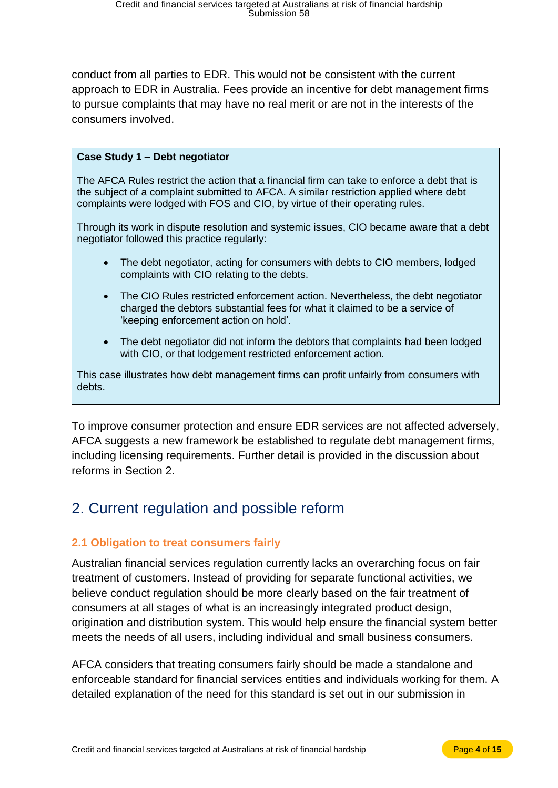conduct from all parties to EDR. This would not be consistent with the current approach to EDR in Australia. Fees provide an incentive for debt management firms to pursue complaints that may have no real merit or are not in the interests of the consumers involved.

#### **Case Study 1 – Debt negotiator**

The AFCA Rules restrict the action that a financial firm can take to enforce a debt that is the subject of a complaint submitted to AFCA. A similar restriction applied where debt complaints were lodged with FOS and CIO, by virtue of their operating rules.

Through its work in dispute resolution and systemic issues, CIO became aware that a debt negotiator followed this practice regularly:

- The debt negotiator, acting for consumers with debts to CIO members, lodged complaints with CIO relating to the debts.
- The CIO Rules restricted enforcement action. Nevertheless, the debt negotiator charged the debtors substantial fees for what it claimed to be a service of 'keeping enforcement action on hold'.
- The debt negotiator did not inform the debtors that complaints had been lodged with CIO, or that lodgement restricted enforcement action.

This case illustrates how debt management firms can profit unfairly from consumers with debts.

To improve consumer protection and ensure EDR services are not affected adversely, AFCA suggests a new framework be established to regulate debt management firms, including licensing requirements. Further detail is provided in the discussion about reforms in Section 2.

## <span id="page-5-0"></span>2. Current regulation and possible reform

#### <span id="page-5-1"></span>**2.1 Obligation to treat consumers fairly**

Australian financial services regulation currently lacks an overarching focus on fair treatment of customers. Instead of providing for separate functional activities, we believe conduct regulation should be more clearly based on the fair treatment of consumers at all stages of what is an increasingly integrated product design, origination and distribution system. This would help ensure the financial system better meets the needs of all users, including individual and small business consumers.

AFCA considers that treating consumers fairly should be made a standalone and enforceable standard for financial services entities and individuals working for them. A detailed explanation of the need for this standard is set out in our submission in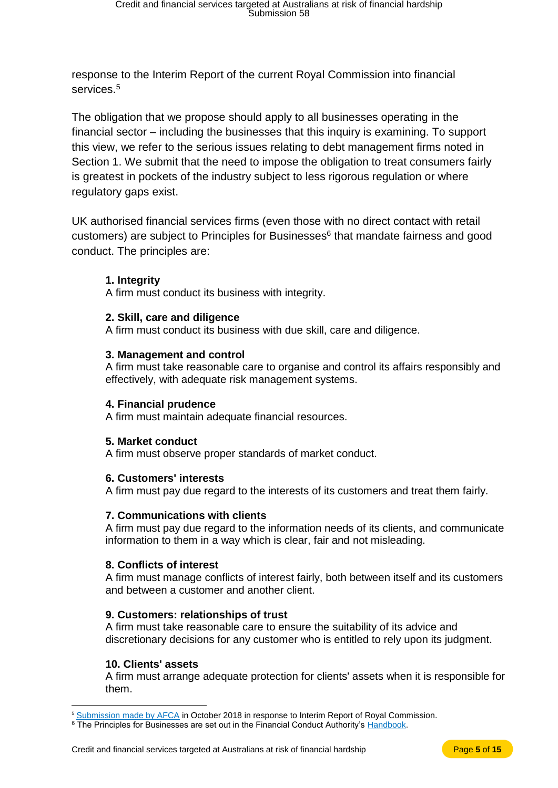response to the Interim Report of the current Royal Commission into financial services.<sup>5</sup>

The obligation that we propose should apply to all businesses operating in the financial sector – including the businesses that this inquiry is examining. To support this view, we refer to the serious issues relating to debt management firms noted in Section 1. We submit that the need to impose the obligation to treat consumers fairly is greatest in pockets of the industry subject to less rigorous regulation or where regulatory gaps exist.

UK authorised financial services firms (even those with no direct contact with retail customers) are subject to Principles for Businesses<sup>6</sup> that mandate fairness and good conduct. The principles are:

#### **1. Integrity**

A firm must conduct its business with integrity.

#### **2. Skill, care and diligence**

A firm must conduct its business with due skill, care and diligence.

#### **3. Management and control**

A firm must take reasonable care to organise and control its affairs responsibly and effectively, with adequate risk management systems.

#### **4. Financial prudence**

A firm must maintain adequate financial resources.

#### **5. Market conduct**

A firm must observe proper standards of market conduct.

#### **6. Customers' interests**

A firm must pay due regard to the interests of its customers and treat them fairly.

#### **7. Communications with clients**

A firm must pay due regard to the information needs of its clients, and communicate information to them in a way which is clear, fair and not misleading.

#### **8. Conflicts of interest**

A firm must manage conflicts of interest fairly, both between itself and its customers and between a customer and another client.

#### **9. Customers: relationships of trust**

A firm must take reasonable care to ensure the suitability of its advice and discretionary decisions for any customer who is entitled to rely upon its judgment.

#### **10. Clients' assets**

 $\overline{a}$ 

A firm must arrange adequate protection for clients' assets when it is responsible for them.

<sup>&</sup>lt;sup>5</sup> [Submission made by AFCA](http://afcaintranet/site/news/royal_commission.jsp) in October 2018 in response to Interim Report of Royal Commission.

<sup>&</sup>lt;sup>6</sup> The Principles for Businesses are set out in the Financial Conduct Authority's [Handbook.](https://www.handbook.fca.org.uk/)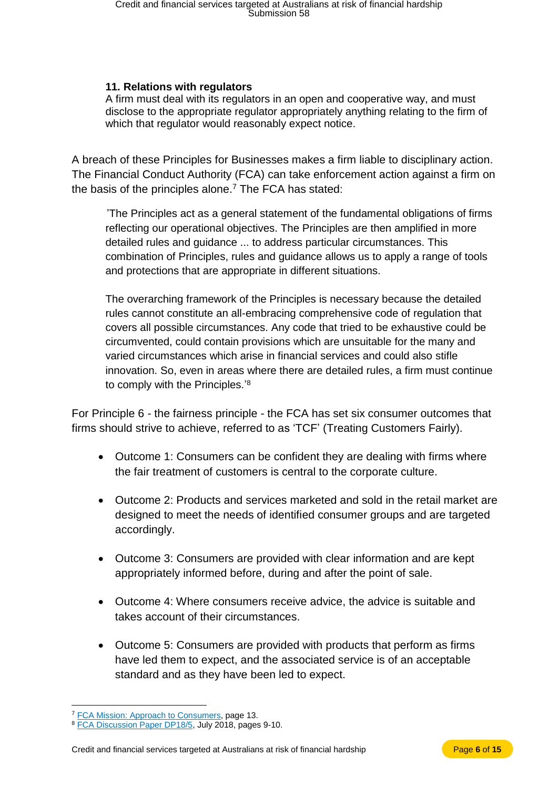#### **11. Relations with regulators**

A firm must deal with its regulators in an open and cooperative way, and must disclose to the appropriate regulator appropriately anything relating to the firm of which that regulator would reasonably expect notice.

A breach of these Principles for Businesses makes a firm liable to disciplinary action. The Financial Conduct Authority (FCA) can take enforcement action against a firm on the basis of the principles alone.<sup>7</sup> The FCA has stated:

'The Principles act as a general statement of the fundamental obligations of firms reflecting our operational objectives. The Principles are then amplified in more detailed rules and guidance ... to address particular circumstances. This combination of Principles, rules and guidance allows us to apply a range of tools and protections that are appropriate in different situations.

The overarching framework of the Principles is necessary because the detailed rules cannot constitute an all-embracing comprehensive code of regulation that covers all possible circumstances. Any code that tried to be exhaustive could be circumvented, could contain provisions which are unsuitable for the many and varied circumstances which arise in financial services and could also stifle innovation. So, even in areas where there are detailed rules, a firm must continue to comply with the Principles.'<sup>8</sup>

For Principle 6 - the fairness principle - the FCA has set six consumer outcomes that firms should strive to achieve, referred to as 'TCF' (Treating Customers Fairly).

- Outcome 1: Consumers can be confident they are dealing with firms where the fair treatment of customers is central to the corporate culture.
- Outcome 2: Products and services marketed and sold in the retail market are designed to meet the needs of identified consumer groups and are targeted accordingly.
- Outcome 3: Consumers are provided with clear information and are kept appropriately informed before, during and after the point of sale.
- Outcome 4: Where consumers receive advice, the advice is suitable and takes account of their circumstances.
- Outcome 5: Consumers are provided with products that perform as firms have led them to expect, and the associated service is of an acceptable standard and as they have been led to expect.

<sup>&</sup>lt;sup>7</sup> [FCA Mission: Approach to Consumers,](https://www.fca.org.uk/publication/corporate/approach-to-consumers.pdf) page 13.

<sup>&</sup>lt;sup>8</sup> [FCA Discussion Paper DP18/5,](https://www.fca.org.uk/publication/discussion/dp-18-05.pdf) July 2018, pages 9-10.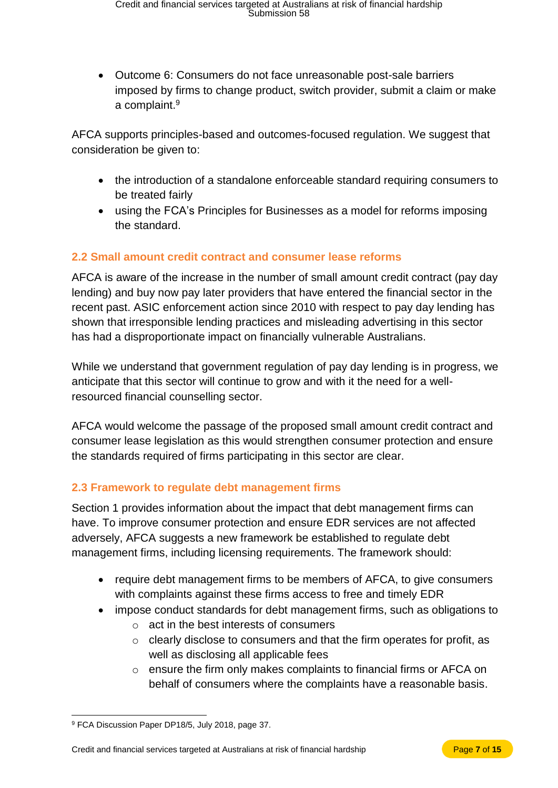• Outcome 6: Consumers do not face unreasonable post-sale barriers imposed by firms to change product, switch provider, submit a claim or make a complaint.<sup>9</sup>

AFCA supports principles-based and outcomes-focused regulation. We suggest that consideration be given to:

- the introduction of a standalone enforceable standard requiring consumers to be treated fairly
- using the FCA's Principles for Businesses as a model for reforms imposing the standard.

### <span id="page-8-0"></span>**2.2 Small amount credit contract and consumer lease reforms**

AFCA is aware of the increase in the number of small amount credit contract (pay day lending) and buy now pay later providers that have entered the financial sector in the recent past. ASIC enforcement action since 2010 with respect to pay day lending has shown that irresponsible lending practices and misleading advertising in this sector has had a disproportionate impact on financially vulnerable Australians.

While we understand that government regulation of pay day lending is in progress, we anticipate that this sector will continue to grow and with it the need for a wellresourced financial counselling sector.

AFCA would welcome the passage of the proposed small amount credit contract and consumer lease legislation as this would strengthen consumer protection and ensure the standards required of firms participating in this sector are clear.

#### <span id="page-8-1"></span>**2.3 Framework to regulate debt management firms**

Section 1 provides information about the impact that debt management firms can have. To improve consumer protection and ensure EDR services are not affected adversely, AFCA suggests a new framework be established to regulate debt management firms, including licensing requirements. The framework should:

- require debt management firms to be members of AFCA, to give consumers with complaints against these firms access to free and timely EDR
- impose conduct standards for debt management firms, such as obligations to
	- o act in the best interests of consumers
	- o clearly disclose to consumers and that the firm operates for profit, as well as disclosing all applicable fees
	- o ensure the firm only makes complaints to financial firms or AFCA on behalf of consumers where the complaints have a reasonable basis.

 $\overline{a}$ <sup>9</sup> FCA Discussion Paper DP18/5, July 2018, page 37.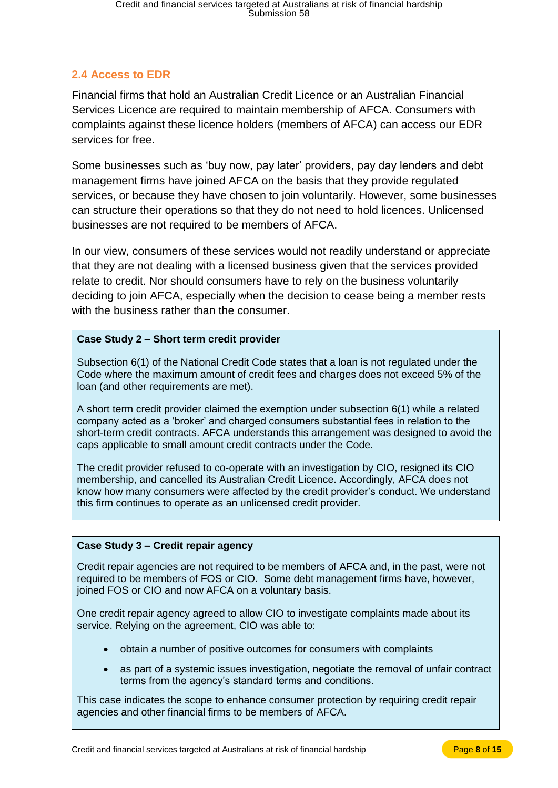## <span id="page-9-0"></span>**2.4 Access to EDR**

Financial firms that hold an Australian Credit Licence or an Australian Financial Services Licence are required to maintain membership of AFCA. Consumers with complaints against these licence holders (members of AFCA) can access our EDR services for free.

Some businesses such as 'buy now, pay later' providers, pay day lenders and debt management firms have joined AFCA on the basis that they provide regulated services, or because they have chosen to join voluntarily. However, some businesses can structure their operations so that they do not need to hold licences. Unlicensed businesses are not required to be members of AFCA.

In our view, consumers of these services would not readily understand or appreciate that they are not dealing with a licensed business given that the services provided relate to credit. Nor should consumers have to rely on the business voluntarily deciding to join AFCA, especially when the decision to cease being a member rests with the business rather than the consumer.

#### **Case Study 2 – Short term credit provider**

Subsection 6(1) of the National Credit Code states that a loan is not regulated under the Code where the maximum amount of credit fees and charges does not exceed 5% of the loan (and other requirements are met).

A short term credit provider claimed the exemption under subsection 6(1) while a related company acted as a 'broker' and charged consumers substantial fees in relation to the short-term credit contracts. AFCA understands this arrangement was designed to avoid the caps applicable to small amount credit contracts under the Code.

The credit provider refused to co-operate with an investigation by CIO, resigned its CIO membership, and cancelled its Australian Credit Licence. Accordingly, AFCA does not know how many consumers were affected by the credit provider's conduct. We understand this firm continues to operate as an unlicensed credit provider.

#### **Case Study 3 – Credit repair agency**

Credit repair agencies are not required to be members of AFCA and, in the past, were not required to be members of FOS or CIO. Some debt management firms have, however, joined FOS or CIO and now AFCA on a voluntary basis.

One credit repair agency agreed to allow CIO to investigate complaints made about its service. Relying on the agreement, CIO was able to:

- obtain a number of positive outcomes for consumers with complaints
- as part of a systemic issues investigation, negotiate the removal of unfair contract terms from the agency's standard terms and conditions.

This case indicates the scope to enhance consumer protection by requiring credit repair agencies and other financial firms to be members of AFCA.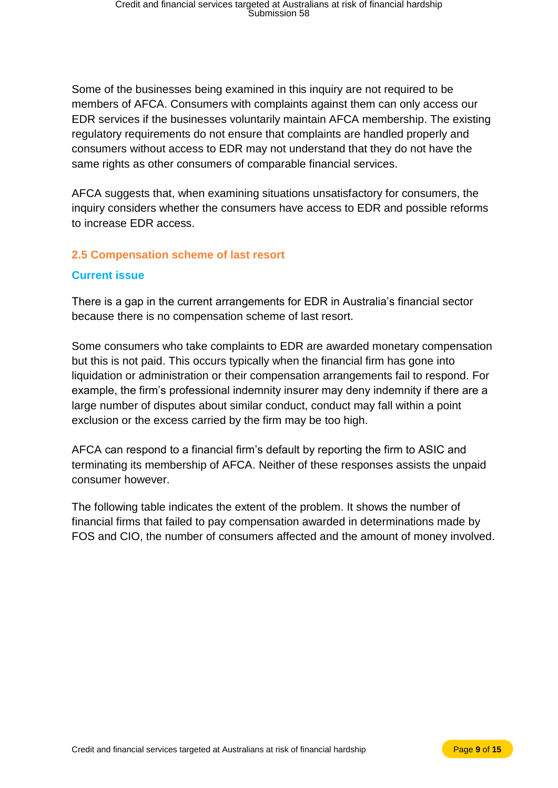Some of the businesses being examined in this inquiry are not required to be members of AFCA. Consumers with complaints against them can only access our EDR services if the businesses voluntarily maintain AFCA membership. The existing regulatory requirements do not ensure that complaints are handled properly and consumers without access to EDR may not understand that they do not have the same rights as other consumers of comparable financial services.

AFCA suggests that, when examining situations unsatisfactory for consumers, the inquiry considers whether the consumers have access to EDR and possible reforms to increase EDR access.

#### <span id="page-10-0"></span>**2.5 Compensation scheme of last resort**

#### **Current issue**

There is a gap in the current arrangements for EDR in Australia's financial sector because there is no compensation scheme of last resort.

Some consumers who take complaints to EDR are awarded monetary compensation but this is not paid. This occurs typically when the financial firm has gone into liquidation or administration or their compensation arrangements fail to respond. For example, the firm's professional indemnity insurer may deny indemnity if there are a large number of disputes about similar conduct, conduct may fall within a point exclusion or the excess carried by the firm may be too high.

AFCA can respond to a financial firm's default by reporting the firm to ASIC and terminating its membership of AFCA. Neither of these responses assists the unpaid consumer however.

The following table indicates the extent of the problem. It shows the number of financial firms that failed to pay compensation awarded in determinations made by FOS and CIO, the number of consumers affected and the amount of money involved.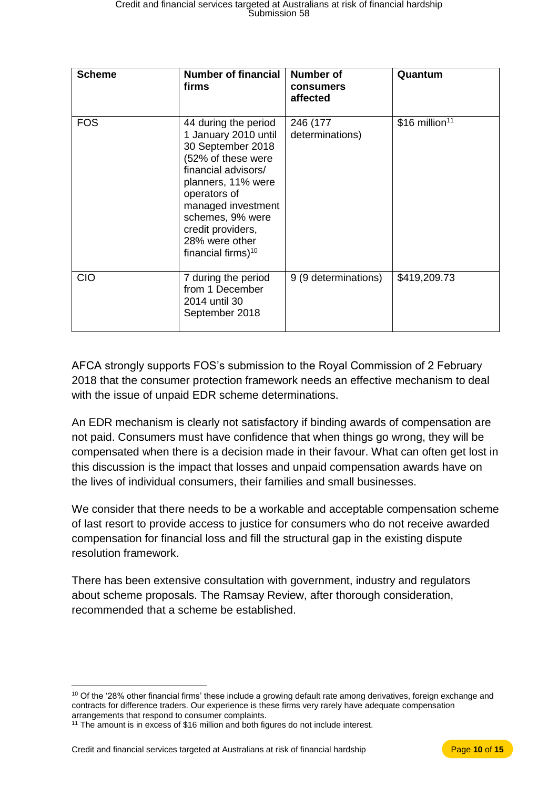| <b>Scheme</b> | <b>Number of financial</b><br>firms                                                                                                                                                                                                                                     | <b>Number of</b><br>consumers<br>affected | Quantum                     |
|---------------|-------------------------------------------------------------------------------------------------------------------------------------------------------------------------------------------------------------------------------------------------------------------------|-------------------------------------------|-----------------------------|
| <b>FOS</b>    | 44 during the period<br>1 January 2010 until<br>30 September 2018<br>(52% of these were<br>financial advisors/<br>planners, 11% were<br>operators of<br>managed investment<br>schemes, 9% were<br>credit providers,<br>28% were other<br>financial firms) <sup>10</sup> | 246 (177<br>determinations)               | $$16$ million <sup>11</sup> |
| <b>CIO</b>    | 7 during the period<br>from 1 December<br>2014 until 30<br>September 2018                                                                                                                                                                                               | 9 (9 determinations)                      | \$419,209.73                |

AFCA strongly supports FOS's submission to the Royal Commission of 2 February 2018 that the consumer protection framework needs an effective mechanism to deal with the issue of unpaid EDR scheme determinations.

An EDR mechanism is clearly not satisfactory if binding awards of compensation are not paid. Consumers must have confidence that when things go wrong, they will be compensated when there is a decision made in their favour. What can often get lost in this discussion is the impact that losses and unpaid compensation awards have on the lives of individual consumers, their families and small businesses.

We consider that there needs to be a workable and acceptable compensation scheme of last resort to provide access to justice for consumers who do not receive awarded compensation for financial loss and fill the structural gap in the existing dispute resolution framework.

There has been extensive consultation with government, industry and regulators about scheme proposals. The Ramsay Review, after thorough consideration, recommended that a scheme be established.

<sup>&</sup>lt;sup>10</sup> Of the '28% other financial firms' these include a growing default rate among derivatives, foreign exchange and contracts for difference traders. Our experience is these firms very rarely have adequate compensation arrangements that respond to consumer complaints.

<sup>11</sup> The amount is in excess of \$16 million and both figures do not include interest.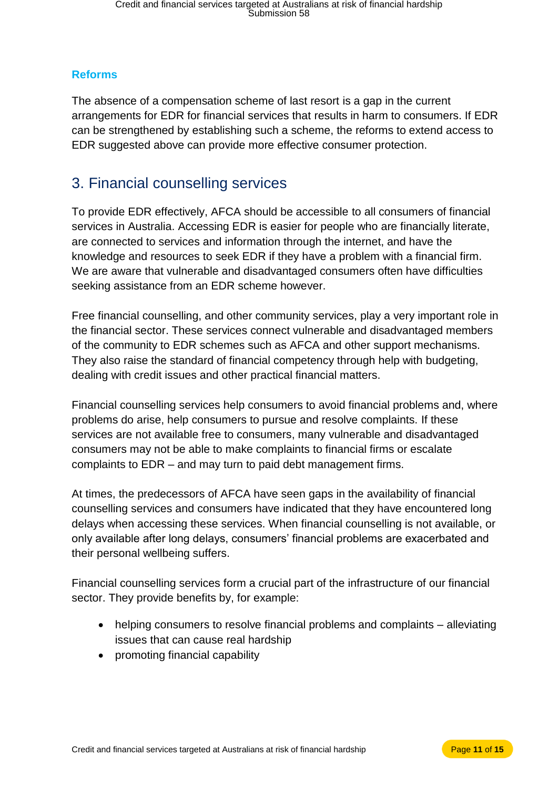### **Reforms**

The absence of a compensation scheme of last resort is a gap in the current arrangements for EDR for financial services that results in harm to consumers. If EDR can be strengthened by establishing such a scheme, the reforms to extend access to EDR suggested above can provide more effective consumer protection.

## <span id="page-12-0"></span>3. Financial counselling services

To provide EDR effectively, AFCA should be accessible to all consumers of financial services in Australia. Accessing EDR is easier for people who are financially literate, are connected to services and information through the internet, and have the knowledge and resources to seek EDR if they have a problem with a financial firm. We are aware that vulnerable and disadvantaged consumers often have difficulties seeking assistance from an EDR scheme however.

Free financial counselling, and other community services, play a very important role in the financial sector. These services connect vulnerable and disadvantaged members of the community to EDR schemes such as AFCA and other support mechanisms. They also raise the standard of financial competency through help with budgeting, dealing with credit issues and other practical financial matters.

Financial counselling services help consumers to avoid financial problems and, where problems do arise, help consumers to pursue and resolve complaints. If these services are not available free to consumers, many vulnerable and disadvantaged consumers may not be able to make complaints to financial firms or escalate complaints to EDR – and may turn to paid debt management firms.

At times, the predecessors of AFCA have seen gaps in the availability of financial counselling services and consumers have indicated that they have encountered long delays when accessing these services. When financial counselling is not available, or only available after long delays, consumers' financial problems are exacerbated and their personal wellbeing suffers.

Financial counselling services form a crucial part of the infrastructure of our financial sector. They provide benefits by, for example:

- helping consumers to resolve financial problems and complaints alleviating issues that can cause real hardship
- promoting financial capability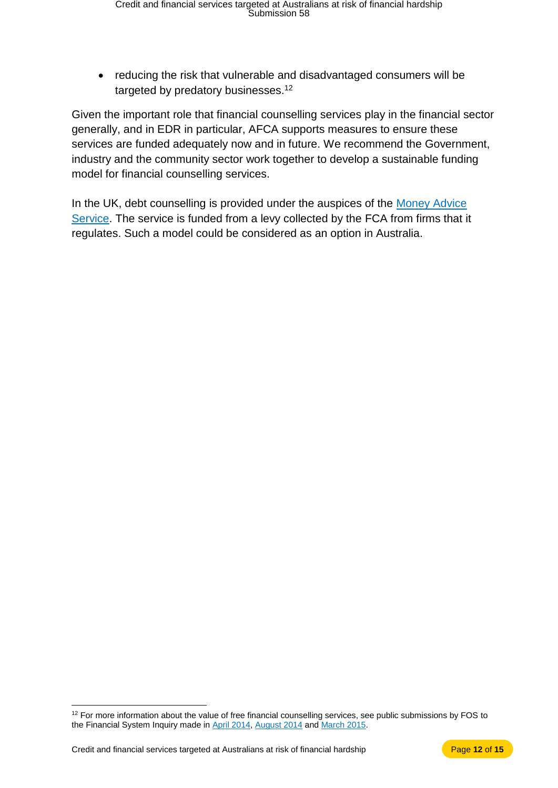• reducing the risk that vulnerable and disadvantaged consumers will be targeted by predatory businesses.<sup>12</sup>

Given the important role that financial counselling services play in the financial sector generally, and in EDR in particular, AFCA supports measures to ensure these services are funded adequately now and in future. We recommend the Government, industry and the community sector work together to develop a sustainable funding model for financial counselling services.

In the UK, debt counselling is provided under the auspices of the Money Advice [Service.](https://www.moneyadviceservice.org.uk/en/corporate/accountability-and-funding) The service is funded from a levy collected by the FCA from firms that it regulates. Such a model could be considered as an option in Australia.

<sup>&</sup>lt;sup>12</sup> For more information about the value of free financial counselling services, see public submissions by FOS to the Financial System Inquiry made i[n April 2014,](http://www.fos.org.au/custom/files/docs/fos-submission-to-fsi-inquiry.pdf) [August 2014](http://www.fos.org.au/custom/files/docs/fos-submission-to-fsi-interim-report-august-2014.pdf) an[d March 2015.](http://www.fos.org.au/custom/files/docs/fos-submission-to-the-financial-system-inquiry-final-report.pdf)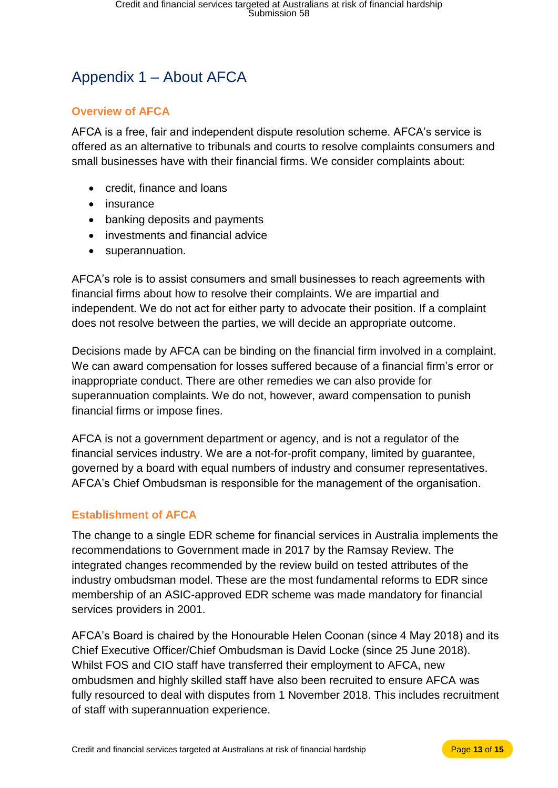# <span id="page-14-0"></span>Appendix 1 – About AFCA

#### <span id="page-14-1"></span>**Overview of AFCA**

AFCA is a free, fair and independent dispute resolution scheme. AFCA's service is offered as an alternative to tribunals and courts to resolve complaints consumers and small businesses have with their financial firms. We consider complaints about:

- credit, finance and loans
- insurance
- banking deposits and payments
- investments and financial advice
- superannuation.

AFCA's role is to assist consumers and small businesses to reach agreements with financial firms about how to resolve their complaints. We are impartial and independent. We do not act for either party to advocate their position. If a complaint does not resolve between the parties, we will decide an appropriate outcome.

Decisions made by AFCA can be binding on the financial firm involved in a complaint. We can award compensation for losses suffered because of a financial firm's error or inappropriate conduct. There are other remedies we can also provide for superannuation complaints. We do not, however, award compensation to punish financial firms or impose fines.

AFCA is not a government department or agency, and is not a regulator of the financial services industry. We are a not-for-profit company, limited by guarantee, governed by a board with equal numbers of industry and consumer representatives. AFCA's Chief Ombudsman is responsible for the management of the organisation.

### <span id="page-14-2"></span>**Establishment of AFCA**

The change to a single EDR scheme for financial services in Australia implements the recommendations to Government made in 2017 by the Ramsay Review. The integrated changes recommended by the review build on tested attributes of the industry ombudsman model. These are the most fundamental reforms to EDR since membership of an ASIC-approved EDR scheme was made mandatory for financial services providers in 2001.

AFCA's Board is chaired by the Honourable Helen Coonan (since 4 May 2018) and its Chief Executive Officer/Chief Ombudsman is David Locke (since 25 June 2018). Whilst FOS and CIO staff have transferred their employment to AFCA, new ombudsmen and highly skilled staff have also been recruited to ensure AFCA was fully resourced to deal with disputes from 1 November 2018. This includes recruitment of staff with superannuation experience.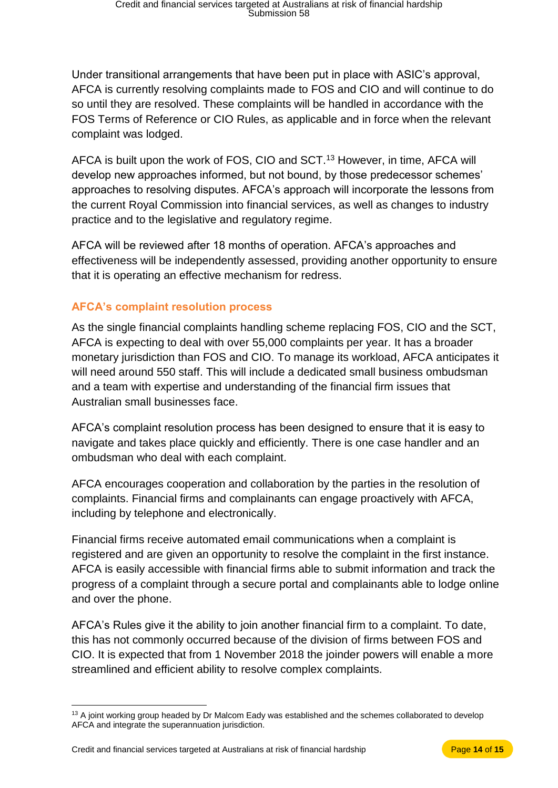Under transitional arrangements that have been put in place with ASIC's approval, AFCA is currently resolving complaints made to FOS and CIO and will continue to do so until they are resolved. These complaints will be handled in accordance with the FOS Terms of Reference or CIO Rules, as applicable and in force when the relevant complaint was lodged.

AFCA is built upon the work of FOS, CIO and SCT.<sup>13</sup> However, in time, AFCA will develop new approaches informed, but not bound, by those predecessor schemes' approaches to resolving disputes. AFCA's approach will incorporate the lessons from the current Royal Commission into financial services, as well as changes to industry practice and to the legislative and regulatory regime.

AFCA will be reviewed after 18 months of operation. AFCA's approaches and effectiveness will be independently assessed, providing another opportunity to ensure that it is operating an effective mechanism for redress.

### <span id="page-15-0"></span>**AFCA's complaint resolution process**

As the single financial complaints handling scheme replacing FOS, CIO and the SCT, AFCA is expecting to deal with over 55,000 complaints per year. It has a broader monetary jurisdiction than FOS and CIO. To manage its workload, AFCA anticipates it will need around 550 staff. This will include a dedicated small business ombudsman and a team with expertise and understanding of the financial firm issues that Australian small businesses face.

AFCA's complaint resolution process has been designed to ensure that it is easy to navigate and takes place quickly and efficiently. There is one case handler and an ombudsman who deal with each complaint.

AFCA encourages cooperation and collaboration by the parties in the resolution of complaints. Financial firms and complainants can engage proactively with AFCA, including by telephone and electronically.

Financial firms receive automated email communications when a complaint is registered and are given an opportunity to resolve the complaint in the first instance. AFCA is easily accessible with financial firms able to submit information and track the progress of a complaint through a secure portal and complainants able to lodge online and over the phone.

AFCA's Rules give it the ability to join another financial firm to a complaint. To date, this has not commonly occurred because of the division of firms between FOS and CIO. It is expected that from 1 November 2018 the joinder powers will enable a more streamlined and efficient ability to resolve complex complaints.

Credit and financial services targeted at Australians at risk of financial hardship Page **14** of **15**

<sup>&</sup>lt;sup>13</sup> A joint working group headed by Dr Malcom Eady was established and the schemes collaborated to develop AFCA and integrate the superannuation jurisdiction.